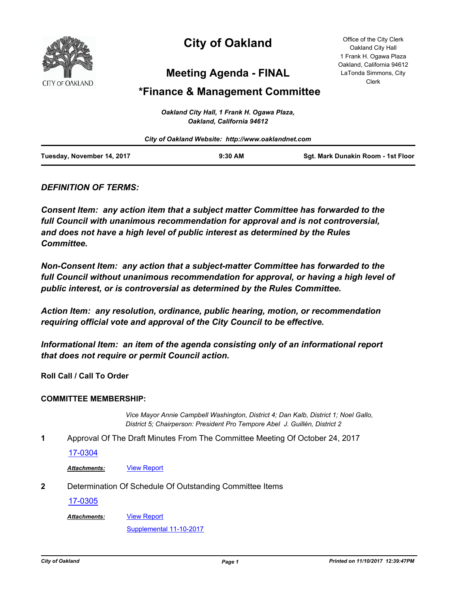

# **City of Oakland**

Office of the City Clerk Oakland City Hall 1 Frank H. Ogawa Plaza Oakland, California 94612 LaTonda Simmons, City Clerk

## **Meeting Agenda - FINAL**

### **\*Finance & Management Committee**

|                            | Oakland City Hall, 1 Frank H. Ogawa Plaza,<br>Oakland, California 94612 |                                    |
|----------------------------|-------------------------------------------------------------------------|------------------------------------|
|                            | City of Oakland Website: http://www.oaklandnet.com                      |                                    |
| Tuesday, November 14, 2017 | $9:30$ AM                                                               | Sqt. Mark Dunakin Room - 1st Floor |

### *DEFINITION OF TERMS:*

*Consent Item: any action item that a subject matter Committee has forwarded to the full Council with unanimous recommendation for approval and is not controversial, and does not have a high level of public interest as determined by the Rules Committee.*

*Non-Consent Item: any action that a subject-matter Committee has forwarded to the*  full Council without unanimous recommendation for approval, or having a high level of *public interest, or is controversial as determined by the Rules Committee.*

*Action Item: any resolution, ordinance, public hearing, motion, or recommendation requiring official vote and approval of the City Council to be effective.*

*Informational Item: an item of the agenda consisting only of an informational report that does not require or permit Council action.*

**Roll Call / Call To Order**

#### **COMMITTEE MEMBERSHIP:**

*Vice Mayor Annie Campbell Washington, District 4; Dan Kalb, District 1; Noel Gallo, District 5; Chairperson: President Pro Tempore Abel J. Guillén, District 2*

**1** Approval Of The Draft Minutes From The Committee Meeting Of October 24, 2017

#### [17-0304](http://oakland.legistar.com/gateway.aspx?m=l&id=/matter.aspx?key=28252)

Attachments: **[View Report](http://oakland.legistar.com/gateway.aspx?M=F&ID=24b8a407-d052-47a7-9233-984c52062116.pdf)** 

**2** Determination Of Schedule Of Outstanding Committee Items

[17-0305](http://oakland.legistar.com/gateway.aspx?m=l&id=/matter.aspx?key=28253)

[View Report](http://oakland.legistar.com/gateway.aspx?M=F&ID=cd9173d3-bb06-47aa-aa05-08a11b1e4182.pdf) *Attachments:*

[Supplemental 11-10-2017](http://oakland.legistar.com/gateway.aspx?M=F&ID=95b800da-5879-4bf6-ae48-0c68c321285d.pdf)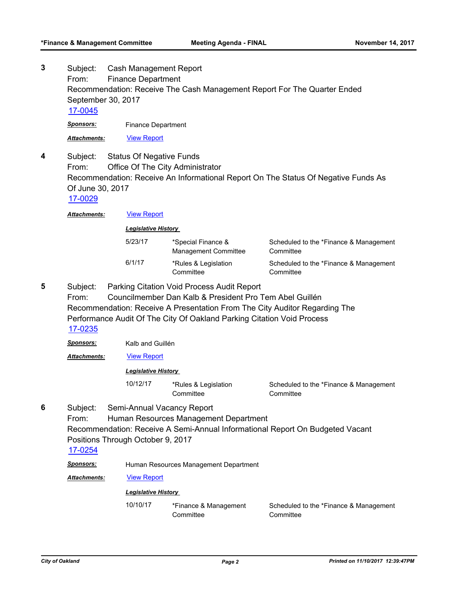**3**

**4**

Subject: Cash Management Report From: Finance Department Recommendation: Receive The Cash Management Report For The Quarter Ended September 30, 2017 [17-0045](http://oakland.legistar.com/gateway.aspx?m=l&id=/matter.aspx?key=27994) *Sponsors:* Finance Department *Attachments:* [View Report](http://oakland.legistar.com/gateway.aspx?M=F&ID=2d29f5fd-80d8-4451-8eb7-4d7b607fd196.pdf) Subject: Status Of Negative Funds From: Office Of The City Administrator Recommendation: Receive An Informational Report On The Status Of Negative Funds As Of June 30, 2017 [17-0029](http://oakland.legistar.com/gateway.aspx?m=l&id=/matter.aspx?key=27722) Attachments: **[View Report](http://oakland.legistar.com/gateway.aspx?M=F&ID=a4cba83d-34ea-4df1-bb7d-bcfe74e70eb4.pdf)** *Legislative History*  5/23/17 \*Special Finance & Management Committee Scheduled to the \*Finance & Management **Committee** 

| 6/1/17 | *Rules & Legislation | Scheduled to the *Finance & Management |
|--------|----------------------|----------------------------------------|
|        | Committee            | Committee                              |

Subject: Parking Citation Void Process Audit Report **5**

> From: Councilmember Dan Kalb & President Pro Tem Abel Guillén Recommendation: Receive A Presentation From The City Auditor Regarding The Performance Audit Of The City Of Oakland Parking Citation Void Process [17-0235](http://oakland.legistar.com/gateway.aspx?m=l&id=/matter.aspx?key=28183)

*Sponsors:* Kalb and Guillén

Attachments: **[View Report](http://oakland.legistar.com/gateway.aspx?M=F&ID=a8c32e3a-e02c-4872-82a0-89f5ecac285e.pdf)** 

#### *Legislative History*

10/12/17 \*Rules & Legislation **Committee** 

Scheduled to the \*Finance & Management **Committee** 

Subject: Semi-Annual Vacancy Report **6**

From: Human Resources Management Department

Recommendation: Receive A Semi-Annual Informational Report On Budgeted Vacant Positions Through October 9, 2017

#### [17-0254](http://oakland.legistar.com/gateway.aspx?m=l&id=/matter.aspx?key=28202)

*Sponsors:* Human Resources Management Department

*Attachments:* [View Report](http://oakland.legistar.com/gateway.aspx?M=F&ID=7cce4fbc-0ed4-46be-a9d3-ef54f8539bd6.pdf)

#### *Legislative History*

10/10/17 \*Finance & Management **Committee** Scheduled to the \*Finance & Management **Committee**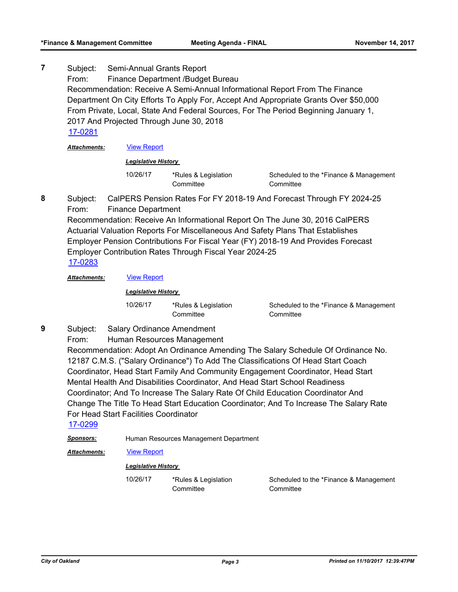Subject: Semi-Annual Grants Report From: Finance Department /Budget Bureau Recommendation: Receive A Semi-Annual Informational Report From The Finance Department On City Efforts To Apply For, Accept And Appropriate Grants Over \$50,000 From Private, Local, State And Federal Sources, For The Period Beginning January 1, 2017 And Projected Through June 30, 2018 **7** [17-0281](http://oakland.legistar.com/gateway.aspx?m=l&id=/matter.aspx?key=28229)

*Attachments:* [View Report](http://oakland.legistar.com/gateway.aspx?M=F&ID=37060ae5-0f7e-429d-913f-4e40cb2e116e.pdf)

#### *Legislative History*

10/26/17 \*Rules & Legislation **Committee** 

Scheduled to the \*Finance & Management **Committee** 

Subject: CalPERS Pension Rates For FY 2018-19 And Forecast Through FY 2024-25 From: Finance Department **8**

Recommendation: Receive An Informational Report On The June 30, 2016 CalPERS Actuarial Valuation Reports For Miscellaneous And Safety Plans That Establishes Employer Pension Contributions For Fiscal Year (FY) 2018-19 And Provides Forecast Employer Contribution Rates Through Fiscal Year 2024-25 [17-0283](http://oakland.legistar.com/gateway.aspx?m=l&id=/matter.aspx?key=28231)

*Attachments:* [View Report](http://oakland.legistar.com/gateway.aspx?M=F&ID=d3835fdf-623e-4756-bd24-ef60d4cd27c8.pdf)

#### *Legislative History*

10/26/17 \*Rules & Legislation **Committee** 

Scheduled to the \*Finance & Management **Committee** 

- Subject: Salary Ordinance Amendment **9**
	- From: Human Resources Management

Recommendation: Adopt An Ordinance Amending The Salary Schedule Of Ordinance No. 12187 C.M.S. ("Salary Ordinance") To Add The Classifications Of Head Start Coach Coordinator, Head Start Family And Community Engagement Coordinator, Head Start Mental Health And Disabilities Coordinator, And Head Start School Readiness Coordinator; And To Increase The Salary Rate Of Child Education Coordinator And Change The Title To Head Start Education Coordinator; And To Increase The Salary Rate For Head Start Facilities Coordinator

[17-0299](http://oakland.legistar.com/gateway.aspx?m=l&id=/matter.aspx?key=28247)

*Sponsors:* Human Resources Management Department

Attachments: **[View Report](http://oakland.legistar.com/gateway.aspx?M=F&ID=4c34cbb9-3625-46fb-bfd3-4b3dfe913b6b.pdf)** 

#### *Legislative History*

10/26/17 \*Rules & Legislation

**Committee** 

Scheduled to the \*Finance & Management **Committee**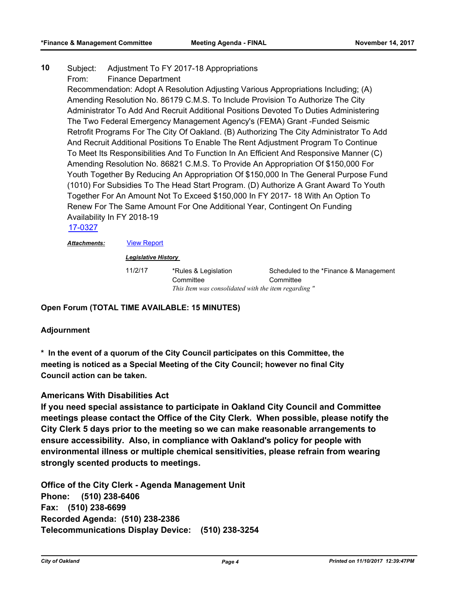#### Subject: Adjustment To FY 2017-18 Appropriations **10**

From: Finance Department

Recommendation: Adopt A Resolution Adjusting Various Appropriations Including; (A) Amending Resolution No. 86179 C.M.S. To Include Provision To Authorize The City Administrator To Add And Recruit Additional Positions Devoted To Duties Administering The Two Federal Emergency Management Agency's (FEMA) Grant -Funded Seismic Retrofit Programs For The City Of Oakland. (B) Authorizing The City Administrator To Add And Recruit Additional Positions To Enable The Rent Adjustment Program To Continue To Meet Its Responsibilities And To Function In An Efficient And Responsive Manner (C) Amending Resolution No. 86821 C.M.S. To Provide An Appropriation Of \$150,000 For Youth Together By Reducing An Appropriation Of \$150,000 In The General Purpose Fund (1010) For Subsidies To The Head Start Program. (D) Authorize A Grant Award To Youth Together For An Amount Not To Exceed \$150,000 In FY 2017- 18 With An Option To Renew For The Same Amount For One Additional Year, Contingent On Funding Availability In FY 2018-19

[17-0327](http://oakland.legistar.com/gateway.aspx?m=l&id=/matter.aspx?key=28274)

*Attachments:* [View Report](http://oakland.legistar.com/gateway.aspx?M=F&ID=d2575355-ce1d-4ddb-b9f3-fb7437472f99.pdf)

*Legislative History* 

11/2/17 \*Rules & Legislation Scheduled to the \*Finance & Management **Committee** *This Item was consolidated with the item regarding "*

**Open Forum (TOTAL TIME AVAILABLE: 15 MINUTES)**

#### **Adjournment**

**\* In the event of a quorum of the City Council participates on this Committee, the meeting is noticed as a Special Meeting of the City Council; however no final City Council action can be taken.**

**Committee** 

#### **Americans With Disabilities Act**

**If you need special assistance to participate in Oakland City Council and Committee meetings please contact the Office of the City Clerk. When possible, please notify the City Clerk 5 days prior to the meeting so we can make reasonable arrangements to ensure accessibility. Also, in compliance with Oakland's policy for people with environmental illness or multiple chemical sensitivities, please refrain from wearing strongly scented products to meetings.**

**Office of the City Clerk - Agenda Management Unit Phone: (510) 238-6406 Fax: (510) 238-6699 Recorded Agenda: (510) 238-2386 Telecommunications Display Device: (510) 238-3254**